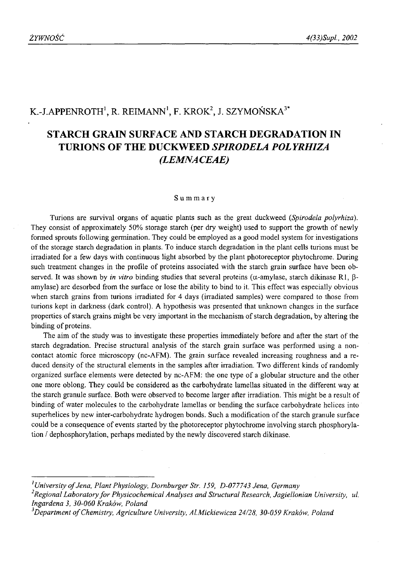# K.-J.APPENROTH<sup>1</sup>, R. REIMANN<sup>1</sup>, F. KROK<sup>2</sup>, J. SZYMOŃSKA<sup>3\*</sup>

# **STARCH GRAIN SURFACE AND STARCH DEGRADATION IN TURIONS OF THE DUCKWEED** *SPIRODELA POLYRHIZA (LEMNACEAE)*

#### Summary

Turions are survival organs of aquatic plants such as the great duckweed (*Spirodela polyrhiza).* They consist of approximately 50% storage starch (per dry weight) used to support the growth of newly formed sprouts following germination. They could be employed as a good model system for investigations of the storage starch degradation in plants. To induce starch degradation in the plant cells turions must be irradiated for a few days with continuous light absorbed by the plant photoreceptor phytochrome. During such treatment changes in the profile of proteins associated with the starch grain surface have been observed. It was shown by *in vitro* binding studies that several proteins ( $\alpha$ -amylase, starch dikinase R1,  $\beta$ amylase) are desorbed from the surface or lose the ability to bind to it. This effect was especially obvious when starch grains from turions irradiated for 4 days (irradiated samples) were compared to those from turions kept in darkness (dark control). A hypothesis was presented that unknown changes in the surface properties of starch grains might be very important in the mechanism of starch degradation, by altering the binding of proteins.

The aim of the study was to investigate these properties immediately before and after the start of the starch degradation. Precise structural analysis of the starch grain surface was performed using a noncontact atomic force microscopy (nc-AFM). The grain surface revealed increasing roughness and a reduced density of the structural elements in the samples after irradiation. Two different kinds of randomly organized surface elements were detected by nc-AFM: the one type of a globular structure and the other one more oblong. They could be considered as the carbohydrate lamellas situated in the different way at the starch granule surface. Both were observed to become larger after irradiation. This might be a result of binding of water molecules to the carbohydrate lamellas or bending the surface carbohydrate helices into superhelices by new inter-carbohydrate hydrogen bonds. Such a modification of the starch granule surface could be a consequence of events started by the photoreceptor phytochrome involving starch phosphorylation / dephosphorylation, perhaps mediated by the newly discovered starch dikinase.

<sup>&</sup>lt;sup>1</sup> University of Jena, Plant Physiology, Dornburger Str. 159, D-077743 Jena, Germany

<sup>&</sup>lt;sup>2</sup> Regional Laboratory for Physicochemical Analyses and Structural Research, Jagiellonian University, ul. *Ingardena 3, 30-060 Kraków, Poland*

<sup>&</sup>lt;sup>3</sup>Department of Chemistry, Agriculture University, Al.Mickiewicza 24/28, 30-059 Kraków, Poland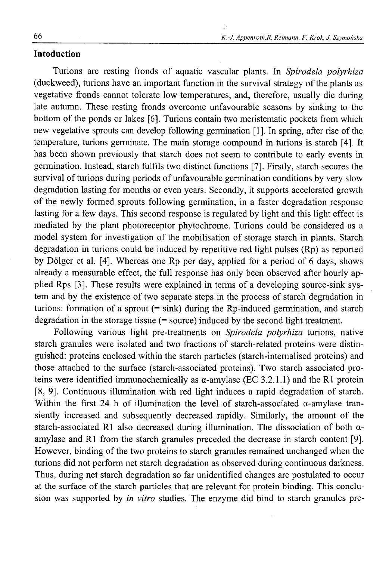### **Intoduction**

Turions are resting fronds of aquatic vascular plants. In *Spirodela polyrhiza* (duckweed), turions have an important function in the survival strategy of the plants as vegetative fronds cannot tolerate low temperatures, and, therefore, usually die during late autumn. These resting fronds overcome unfavourable seasons by sinking to the bottom of the ponds or lakes [6]. Turions contain two meristematic pockets from which new vegetative sprouts can develop following germination [1]. In spring, after rise of the temperature, turions germinate. The main storage compound in turions is starch [4]. It has been shown previously that starch does not seem to contribute to early events in germination. Instead, starch fulfils two distinct functions [7]. Firstly, starch secures the survival of turions during periods of unfavourable germination conditions by very slow degradation lasting for months or even years. Secondly, it supports accelerated growth of the newly formed sprouts following germination, in a faster degradation response lasting for a few days. This second response is regulated by light and this light effect is mediated by the plant photoreceptor phytochrome. Turions could be considered as a model system for investigation of the mobilisation of storage starch in plants. Starch degradation in turions could be induced by repetitive red light pulses (Rp) as reported by Dölger et al. [4]. Whereas one Rp per day, applied for a period of 6 days, shows already a measurable effect, the full response has only been observed after hourly applied Rps [3]. These results were explained in terms of a developing source-sink system and by the existence of two separate steps in the process of starch degradation in turions: formation of a sprout  $(=\sin k)$  during the Rp-induced germination, and starch degradation in the storage tissue (= source) induced by the second light treatment.

Following various light pre-treatments on *Spirodela polyrhiza* turions, native starch granules were isolated and two fractions of starch-related proteins were distinguished: proteins enclosed within the starch particles (starch-internalised proteins) and those attached to the surface (starch-associated proteins). Two starch associated proteins were identified immunochemically as  $\alpha$ -amylase (EC 3.2.1.1) and the R1 protein [<sup>8</sup> , 9]. Continuous illumination with red light induces a rapid degradation of starch. Within the first 24 h of illumination the level of starch-associated  $\alpha$ -amylase transiently increased and subsequently decreased rapidly. Similarly, the amount of the starch-associated R1 also decreased during illumination. The dissociation of both aamylase and R1 from the starch granules preceded the decrease in starch content [9]. However, binding of the two proteins to starch granules remained unchanged when the turions did not perform net starch degradation as observed during continuous darkness. Thus, during net starch degradation so far unidentified changes are postulated to occur at the surface of the starch particles that are relevant for protein binding. This conclusion was supported by *in vitro* studies. The enzyme did bind to starch granules pre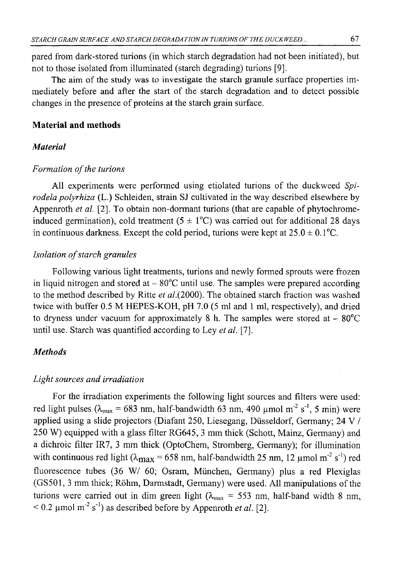pared from dark-stored turions (in which starch degradation had not been initiated), but not to those isolated from illuminated (starch degrading) turions [9].

The aim of the study was to investigate the starch granule surface properties immediately before and after the start of the starch degradation and to detect possible changes in the presence of proteins at the starch grain surface.

### **Material and methods**

#### *Material*

#### *Formation of the turions*

All experiments were performed using etiolated turions of the duckweed *Spirodela polyrhiza* (L.) Schleiden, strain SJ cultivated in the way described elsewhere by Appenroth *et al.* [2]. To obtain non-dormant turions (that are capable of phytochromeinduced germination), cold treatment  $(5 \pm 1^{\circ}C)$  was carried out for additional 28 days in continuous darkness. Except the cold period, turions were kept at  $25.0 \pm 0.1$  °C.

### *Isolation of starch granules*

Following various light treatments, turions and newly formed sprouts were frozen in liquid nitrogen and stored at  $-80^{\circ}$ C until use. The samples were prepared according to the method described by Ritte *et al.{*2000). The obtained starch fraction was washed twice with buffer 0.5 M HEPES-KOH, pH 7.0 (5 ml and 1 ml, respectively), and dried to dryness under vacuum for approximately 8 h. The samples were stored at  $-80^{\circ}$ C until use. Starch was quantified according to Ley *et al.* [7].

## *Methods*

#### *Light sources and irradiation*

For the irradiation experiments the following light sources and filters were used: red light pulses ( $\lambda_{\text{max}} = 683$  nm, half-bandwidth 63 nm, 490  $\mu$ mol m<sup>-2</sup> s<sup>-1</sup>, 5 min) were applied using a slide projectors (Diafant 250, Liesegang, Diisseldorf, Germany; 24 V / 250 W) equipped with a glass filter RG645, 3 mm thick (Schott, Mainz, Germany) and a dichroic filter IR7, 3 mm thick (OptoChem, Stromberg, Germany); for illumination with continuous red light ( $\lambda_{\text{max}}$  = 658 nm, half-bandwidth 25 nm, 12 µmol m<sup>-2</sup> s<sup>-1</sup>) red fluorescence tubes (36 W/ 60; Osram, Miinchen, Germany) plus a red Plexiglas (GS501, 3 mm thick; Rohm, Darmstadt, Germany) were used. All manipulations of the turions were carried out in dim green light ( $\lambda_{\text{max}} = 553$  nm, half-band width 8 nm,  $< 0.2 \mu$ mol m<sup>-2</sup> s<sup>-1</sup>) as described before by Appenroth *et al.* [2].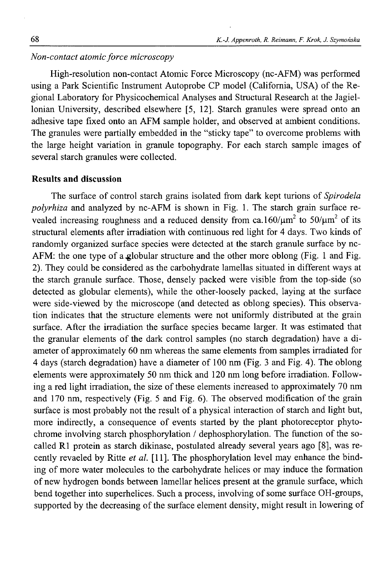### *Non-contact atomic force microscopy*

High-resolution non-contact Atomic Force Microscopy (nc-AFM) was performed using a Park Scientific Instrument Autoprobe CP model (California, USA) of the Regional Laboratory for Physicochemical Analyses and Structural Research at the Jagiellonian University, described elsewhere [5, 12]. Starch granules were spread onto an adhesive tape fixed onto an AFM sample holder, and observed at ambient conditions. The granules were partially embedded in the "sticky tape" to overcome problems with the large height variation in granule topography. For each starch sample images of several starch granules were collected.

### **Results and discussion**

The surface of control starch grains isolated from dark kept turions of *Spirodela polyrhiza* and analyzed by nc-AFM is shown in Fig. 1. The starch grain surface revealed increasing roughness and a reduced density from ca.160/ $\mu$ m<sup>2</sup> to 50/ $\mu$ m<sup>2</sup> of its structural elements after irradiation with continuous red light for 4 days. Two kinds of randomly organized surface species were detected at the starch granule surface by nc-AFM: the one type of a globular structure and the other more oblong (Fig. 1 and Fig. 2). They could be considered as the carbohydrate lamellas situated in different ways at the starch granule surface. Those, densely packed were visible from the top-side (so detected as globular elements), while the other-loosely packed, laying at the surface were side-viewed by the microscope (and detected as oblong species). This observation indicates that the structure elements were not uniformly distributed at the grain surface. After the irradiation the surface species became larger. It was estimated that the granular elements of the dark control samples (no starch degradation) have a diameter of approximately 60 nm whereas the same elements from samples irradiated for 4 days (starch degradation) have a diameter of 100 nm (Fig. 3 and Fig. 4). The oblong elements were approximately 50 nm thick and 120 nm long before irradiation. Following a red light irradiation, the size of these elements increased to approximately 70 nm and 170 nm, respectively (Fig. 5 and Fig. 6). The observed modification of the grain surface is most probably not the result of a physical interaction of starch and light but, more indirectly, a consequence of events started by the plant photoreceptor phytochrome involving starch phosphorylation / dephosphorylation. The function of the socalled R1 protein as starch dikinase, postulated already several years ago [8], was recently revaeled by Ritte *et al.* [11]. The phosphorylation level may enhance the binding of more water molecules to the carbohydrate helices or may induce the formation of new hydrogen bonds between lamellar helices present at the granule surface, which bend together into superhelices. Such a process, involving of some surface OH-groups, supported by the decreasing of the surface element density, might result in lowering of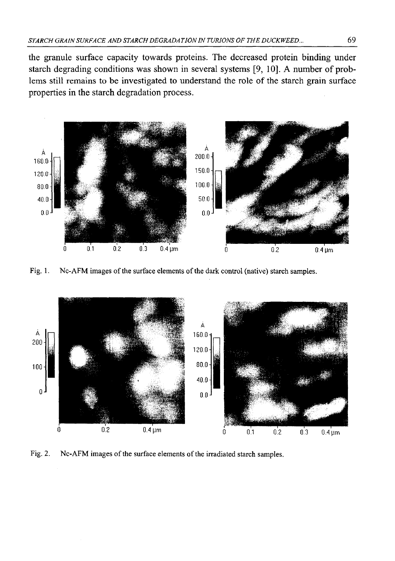the granule surface capacity towards proteins. The decreased protein binding under starch degrading conditions was shown in several systems [9, 10]. A number of problems still remains to be investigated to understand the role of the starch grain surface properties in the starch degradation process.



Fig. 1. Nc-AFM images of the surface elements of the dark control (native) starch samples.



Fig. 2. Nc-AFM images of the surface elements of the irradiated starch samples.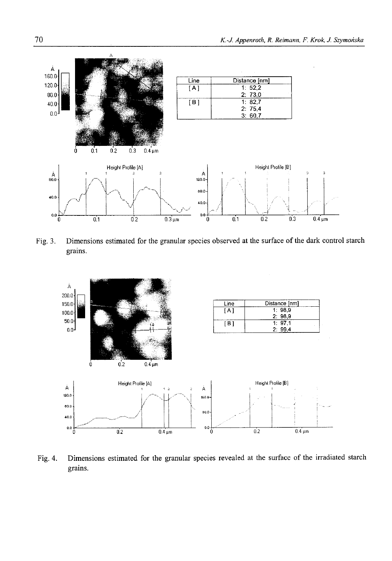

Fig. 3. Dimensions estimated for the granular species observed at the surface of the dark control starch grains.



Fig. 4. Dimensions estimated for the granular species revealed at the surface of the irradiated starch grains.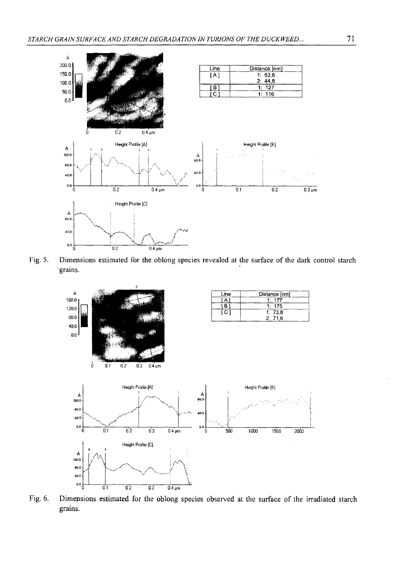

Fig. 5. Dimensions estimated for the oblong species revealed at the surface of the dark control starch grains.



Fig. 6. Dimensions estimated for the oblong species observed at the surface of the irradiated starch grains.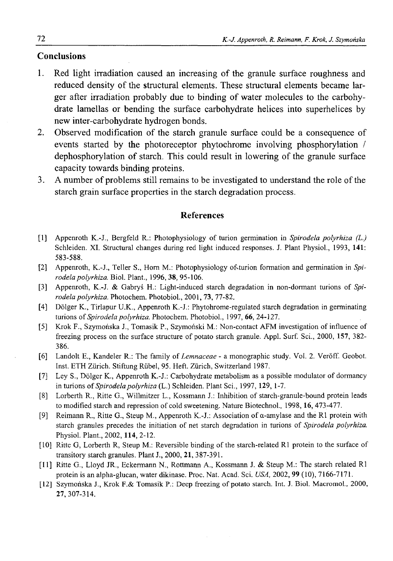## **Conclusions**

- 1. Red light irradiation caused an increasing of the granule surface roughness and reduced density of the structural elements. These structural elements became larger after irradiation probably due to binding of water molecules to the carbohydrate lamellas or bending the surface carbohydrate helices into superhelices by new inter-carbohydrate hydrogen bonds.
- 2. Observed modification of the starch granule surface could be a consequence of events started by the photoreceptor phytochrome involving phosphorylation / dephosphorylation of starch. This could result in lowering of the granule surface capacity towards binding proteins.
- 3. A number of problems still remains to be investigated to understand the role of the starch grain surface properties in the starch degradation process.

#### **References**

- [1] Appenroth K.-J., Bergfeld R.: Photophysiology of turion germination in *Spirodela polyrhiza (L.)* Schleiden. XI. Structural changes during red light induced responses. J. Plant Physiol., 1993, **141:** 583-588.
- [2] Appenroth, K.-J., Teller S., Horn M.: Photophysiology of turion formation and germination in *Spirodela polyrhiza.* Biol. Plant., 1996, 38, 95-106.
- [3] Appenroth, K.-J. & Gabryś H.: Light-induced starch degradation in non-dormant turions of *Spirodela polyrhiza.* Photochem. Photobiol., 2001, 73, 77-82.
- [4] Dólger K., Tirlapur U.K., Appenroth K.-J.: Phytohrome-regulated starch degradation in germinating turions of *Spirodela polyrhiza.* Photochem. Photobiol., 1997, 66, 24-127.
- [5] Krok F., Szymońska J., Tomasik P., Szymoński M.: Non-contact AFM investigation of influence of freezing process on the surface structure of potato starch granule. Appl. Surf. Sci., 2000, **157,** 382- 386.
- [6] Landolt E., Kandeler R.: The family of *Lemnaceae* a monographic study. Vol. 2. Veroff. Geobot. Inst. ETH Zurich. Stiftung Riibel, 95. Heft. Zurich, Switzerland 1987.
- [7] Ley S., Dólger K., Appenroth K.-J.: Carbohydrate metabolism as a possible modulator of dormancy in turions of *Spirodela polyrhiza* (L.) Schleiden. Plant Sci., 1997, **129,** 1-7.
- [8] Lorberth R., Ritte G., Willmitzer L., Kossmann J.: Inhibition of starch-granule-bound protein leads to modified starch and repression of cold sweetening. Nature Biotechnol., 1998,16, 473-477.
- [9] Reimann R., Ritte G., Steup M., Appenroth K.-J.: Association of a-amylase and the R1 protein with starch granules precedes the initiation of net starch degradation in turions of *Spirodela polyrhiza.* Physiol. Plant., 2002, **114,** 2-12.
- [10] Ritte G, Lorberth R, Steup M.: Reversible binding of the starch-related R1 protein to the surface of transitory starch granules. Plant J., 2000, **21,** 387-391.
- [11] Ritte G., Lloyd JR., Eckermann N., Rottmann A., Kossmann J. & Steup M.: The starch related R1 protein is an alpha-glucan, water dikinase. Proc. Nat. Acad. Sci. *USA,* 2002, **99** (10), 7166-7171.
- [12] Szymońska J., Krok F.& Tomasik P.: Deep freezing of potato starch. Int. J. Biol. Macromol., 2000, 27,307-314.